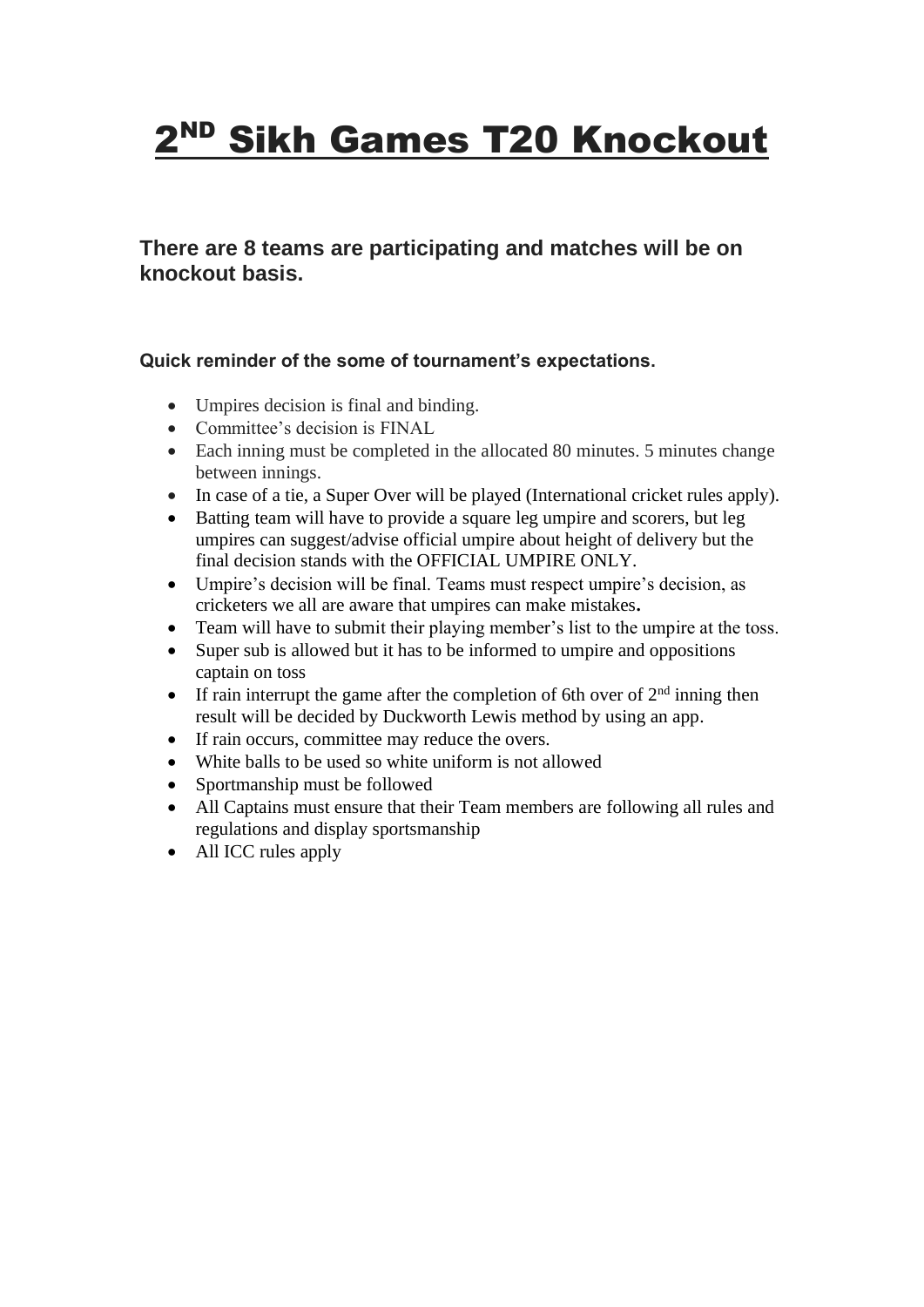# 2<sup>ND</sup> Sikh Games T20 Knockout

**There are 8 teams are participating and matches will be on knockout basis.**

### **Quick reminder of the some of tournament's expectations.**

- Umpires decision is final and binding.
- Committee's decision is FINAL
- Each inning must be completed in the allocated 80 minutes. 5 minutes change between innings.
- In case of a tie, a Super Over will be played (International cricket rules apply).
- Batting team will have to provide a square leg umpire and scorers, but leg umpires can suggest/advise official umpire about height of delivery but the final decision stands with the OFFICIAL UMPIRE ONLY.
- Umpire's decision will be final. Teams must respect umpire's decision, as cricketers we all are aware that umpires can make mistakes**.**
- Team will have to submit their playing member's list to the umpire at the toss.
- Super sub is allowed but it has to be informed to umpire and oppositions captain on toss
- If rain interrupt the game after the completion of 6th over of  $2<sup>nd</sup>$  inning then result will be decided by Duckworth Lewis method by using an app.
- If rain occurs, committee may reduce the overs.
- White balls to be used so white uniform is not allowed
- Sportmanship must be followed
- All Captains must ensure that their Team members are following all rules and regulations and display sportsmanship
- All ICC rules apply